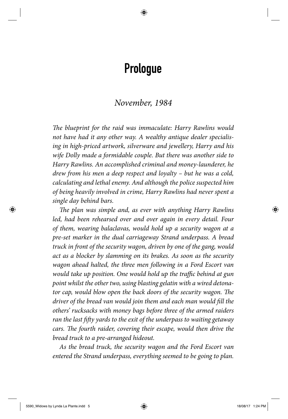### Prologue

### *November, 1984*

*The blueprint for the raid was immaculate: Harry Rawlins would not have had it any other way. A wealthy antique dealer specialising in high-priced artwork, silverware and jewellery, Harry and his wife Dolly made a formidable couple. But there was another side to Harry Rawlins. An accomplished criminal and money-launderer, he drew from his men a deep respect and loyalty – but he was a cold, calculating and lethal enemy. And although the police suspected him of being heavily involved in crime, Harry Rawlins had never spent a single day behind bars.* 

*The plan was simple and, as ever with anything Harry Rawlins* led, had been rehearsed over and over again in every detail. Four *of them, wearing balaclavas, would hold up a security wagon at a pre-set marker in the dual carriageway Strand underpass. A bread truck in front of the security wagon, driven by one of the gang, would act as a blocker by slamming on its brakes. As soon as the security wagon ahead halted, the three men following in a Ford Escort van would take up position. One would hold up the traffic behind at gun point whilst the other two, using blasting gelatin with a wired detona*tor cap, would blow open the back doors of the security wagon. The *driver of the bread van would join them and each man would fill the others' rucksacks with money bags before three of the armed raiders*  ran the last fifty yards to the exit of the underpass to waiting getaway *cars. The fourth raider, covering their escape, would then drive the bread truck to a pre-arranged hideout.* 

*As the bread truck, the security wagon and the Ford Escort van entered the Strand underpass, everything seemed to be going to plan.*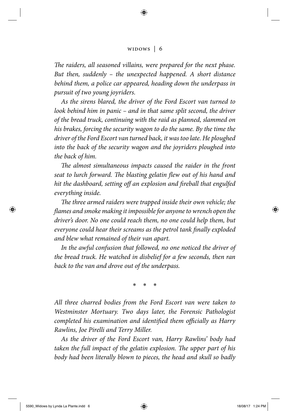The raiders, all seasoned villains, were prepared for the next phase. *But then, suddenly – the unexpected happened. A short distance behind them, a police car appeared, heading down the underpass in pursuit of two young joyriders.*

*As the sirens blared, the driver of the Ford Escort van turned to look behind him in panic – and in that same split second, the driver of the bread truck, continuing with the raid as planned, slammed on his brakes, forcing the security wagon to do the same. By the time the driver of the Ford Escort van turned back, it was too late. He ploughed into the back of the security wagon and the joyriders ploughed into the back of him.* 

The almost simultaneous impacts caused the raider in the front *seat to lurch forward. The blasting gelatin flew out of his hand and* hit the dashboard, setting off an explosion and fireball that engulfed *everything inside.* 

The three armed raiders were trapped inside their own vehicle; the *fl ames and smoke making it impossible for anyone to wrench open the driver's door. No one could reach them, no one could help them, but everyone could hear their screams as the petrol tank finally exploded and blew what remained of their van apart.* 

*In the awful confusion that followed, no one noticed the driver of the bread truck. He watched in disbelief for a few seconds, then ran back to the van and drove out of the underpass.* 

\* \* \*

*All three charred bodies from the Ford Escort van were taken to Westminster Mortuary. Two days later, the Forensic Pathologist completed his examination and identified them officially as Harry Rawlins, Joe Pirelli and Terry Miller.*

*As the driver of the Ford Escort van, Harry Rawlins' body had taken the full impact of the gelatin explosion. The upper part of his body had been literally blown to pieces, the head and skull so badly*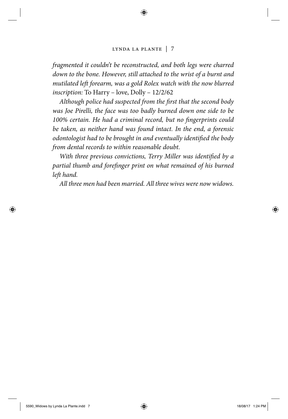*fragmented it couldn't be reconstructed, and both legs were charred down to the bone. However, still attached to the wrist of a burnt and mutilated left forearm, was a gold Rolex watch with the now blurred inscription:* To Harry – love, Dolly – 12/2/62

Although police had suspected from the first that the second body *was Joe Pirelli, the face was too badly burned down one side to be*  100% certain. He had a criminal record, but no fingerprints could *be taken, as neither hand was found intact. In the end, a forensic odontologist had to be brought in and eventually identifi ed the body from dental records to within reasonable doubt.* 

With three previous convictions, Terry Miller was identified by a partial thumb and forefinger print on what remained of his burned *left hand.* 

*All three men had been married. All three wives were now widows.*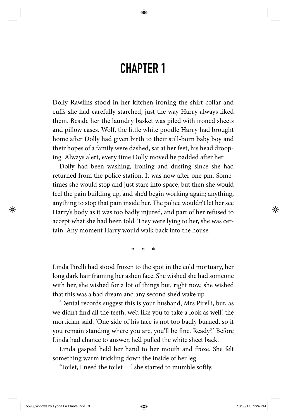# **CHAPTER 1**

Dolly Rawlins stood in her kitchen ironing the shirt collar and cuffs she had carefully starched, just the way Harry always liked them. Beside her the laundry basket was piled with ironed sheets and pillow cases. Wolf, the little white poodle Harry had brought home after Dolly had given birth to their still-born baby boy and their hopes of a family were dashed, sat at her feet, his head drooping. Always alert, every time Dolly moved he padded after her.

Dolly had been washing, ironing and dusting since she had returned from the police station. It was now after one pm. Sometimes she would stop and just stare into space, but then she would feel the pain building up, and she'd begin working again; anything, anything to stop that pain inside her. The police wouldn't let her see Harry's body as it was too badly injured, and part of her refused to accept what she had been told. They were lying to her, she was certain. Any moment Harry would walk back into the house.

\* \* \*

Linda Pirelli had stood frozen to the spot in the cold mortuary, her long dark hair framing her ashen face. She wished she had someone with her, she wished for a lot of things but, right now, she wished that this was a bad dream and any second she'd wake up.

'Dental records suggest this is your husband, Mrs Pirelli, but, as we didn't find all the teeth, we'd like you to take a look as well,' the mortician said. 'One side of his face is not too badly burned, so if you remain standing where you are, you'll be fine. Ready?' Before Linda had chance to answer, he'd pulled the white sheet back.

Linda gasped held her hand to her mouth and froze. She felt something warm trickling down the inside of her leg.

'Toilet, I need the toilet . . .' she started to mumble softly.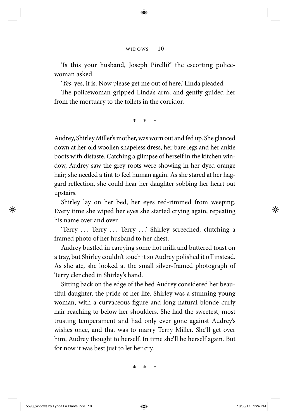'Is this your husband, Joseph Pirelli?' the escorting policewoman asked.

'*Yes*, yes, it is. Now please get me out of here,' Linda pleaded.

The policewoman gripped Linda's arm, and gently guided her from the mortuary to the toilets in the corridor.

\* \* \*

Audrey, Shirley Miller's mother, was worn out and fed up. She glanced down at her old woollen shapeless dress, her bare legs and her ankle boots with distaste. Catching a glimpse of herself in the kitchen window, Audrey saw the grey roots were showing in her dyed orange hair; she needed a tint to feel human again. As she stared at her haggard reflection, she could hear her daughter sobbing her heart out upstairs.

Shirley lay on her bed, her eyes red-rimmed from weeping. Every time she wiped her eyes she started crying again, repeating his name over and over.

'Terry . . . Terry . . . Terry . . .' Shirley screeched, clutching a framed photo of her husband to her chest.

Audrey bustled in carrying some hot milk and buttered toast on a tray, but Shirley couldn't touch it so Audrey polished it off instead. As she ate, she looked at the small silver-framed photograph of Terry clenched in Shirley's hand.

Sitting back on the edge of the bed Audrey considered her beautiful daughter, the pride of her life. Shirley was a stunning young woman, with a curvaceous figure and long natural blonde curly hair reaching to below her shoulders. She had the sweetest, most trusting temperament and had only ever gone against Audrey's wishes once, and that was to marry Terry Miller. She'll get over him, Audrey thought to herself. In time she'll be herself again. But for now it was best just to let her cry.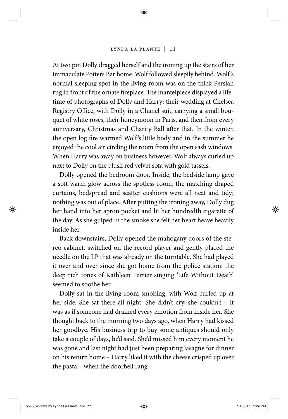At two pm Dolly dragged herself and the ironing up the stairs of her immaculate Potters Bar home. Wolf followed sleepily behind. Wolf 's normal sleeping spot in the living room was on the thick Persian rug in front of the ornate fireplace. The mantelpiece displayed a lifetime of photographs of Dolly and Harry: their wedding at Chelsea Registry Office, with Dolly in a Chanel suit, carrying a small bouquet of white roses, their honeymoon in Paris, and then from every anniversary, Christmas and Charity Ball after that. In the winter, the open log fire warmed Wolf's little body and in the summer he enjoyed the cool air circling the room from the open sash windows. When Harry was away on business however, Wolf always curled up next to Dolly on the plush red velvet sofa with gold tassels.

Dolly opened the bedroom door. Inside, the bedside lamp gave a soft warm glow across the spotless room, the matching draped curtains, bedspread and scatter cushions were all neat and tidy; nothing was out of place. After putting the ironing away, Dolly dug her hand into her apron pocket and lit her hundredth cigarette of the day. As she gulped in the smoke she felt her heart heave heavily inside her.

Back downstairs, Dolly opened the mahogany doors of the stereo cabinet, switched on the record player and gently placed the needle on the LP that was already on the turntable. She had played it over and over since she got home from the police station: the deep rich tones of Kathleen Ferrier singing 'Life Without Death' seemed to soothe her.

Dolly sat in the living room smoking, with Wolf curled up at her side. She sat there all night. She didn't cry, she couldn't – it was as if someone had drained every emotion from inside her. She thought back to the morning two days ago, when Harry had kissed her goodbye. His business trip to buy some antiques should only take a couple of days, he'd said. She'd missed him every moment he was gone and last night had just been preparing lasagne for dinner on his return home – Harry liked it with the cheese crisped up over the pasta – when the doorbell rang.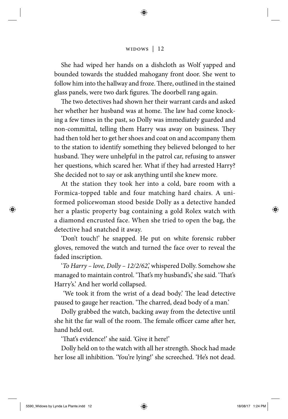She had wiped her hands on a dishcloth as Wolf yapped and bounded towards the studded mahogany front door. She went to follow him into the hallway and froze. There, outlined in the stained glass panels, were two dark figures. The doorbell rang again.

The two detectives had shown her their warrant cards and asked her whether her husband was at home. The law had come knocking a few times in the past, so Dolly was immediately guarded and non-committal, telling them Harry was away on business. They had then told her to get her shoes and coat on and accompany them to the station to identify something they believed belonged to her husband. They were unhelpful in the patrol car, refusing to answer her questions, which scared her. What if they had arrested Harry? She decided not to say or ask anything until she knew more.

At the station they took her into a cold, bare room with a Formica-topped table and four matching hard chairs. A uniformed policewoman stood beside Dolly as a detective handed her a plastic property bag containing a gold Rolex watch with a diamond encrusted face. When she tried to open the bag, the detective had snatched it away.

'Don't touch!' he snapped. He put on white forensic rubber gloves, removed the watch and turned the face over to reveal the faded inscription.

'*To Harry – love, Dolly – 12/2/62*,' whispered Dolly. Somehow she managed to maintain control. 'That's my husband's,' she said. 'That's Harry's.' And her world collapsed.

'We took it from the wrist of a dead body.' The lead detective paused to gauge her reaction. 'The charred, dead body of a man.'

Dolly grabbed the watch, backing away from the detective until she hit the far wall of the room. The female officer came after her, hand held out.

'That's evidence!' she said. 'Give it here!'

Dolly held on to the watch with all her strength. Shock had made her lose all inhibition. 'You're lying!' she screeched. 'He's not dead.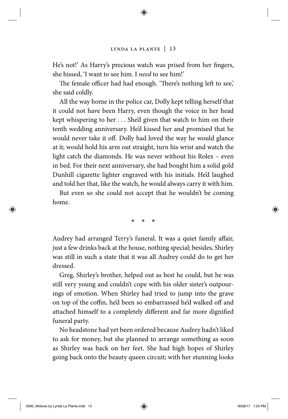He's not!' As Harry's precious watch was prised from her fingers, she hissed, 'I want to see him. I *need* to see him!'

The female officer had had enough. 'There's nothing left to see,' she said coldly.

All the way home in the police car, Dolly kept telling herself that it could not have been Harry, even though the voice in her head kept whispering to her . . . She'd given that watch to him on their tenth wedding anniversary. He'd kissed her and promised that he would never take it off. Dolly had loved the way he would glance at it; would hold his arm out straight, turn his wrist and watch the light catch the diamonds. He was never without his Rolex – even in bed. For their next anniversary, she had bought him a solid gold Dunhill cigarette lighter engraved with his initials. He'd laughed and told her that, like the watch, he would always carry it with him.

But even so she could not accept that he wouldn't be coming home.

 $\star$ 

Audrey had arranged Terry's funeral. It was a quiet family affair, just a few drinks back at the house, nothing special; besides, Shirley was still in such a state that it was all Audrey could do to get her dressed.

Greg, Shirley's brother, helped out as best he could, but he was still very young and couldn't cope with his older sister's outpourings of emotion. When Shirley had tried to jump into the grave on top of the coffin, he'd been so embarrassed he'd walked off and attached himself to a completely different and far more dignified funeral party.

No headstone had yet been ordered because Audrey hadn't liked to ask for money, but she planned to arrange something as soon as Shirley was back on her feet. She had high hopes of Shirley going back onto the beauty queen circuit; with her stunning looks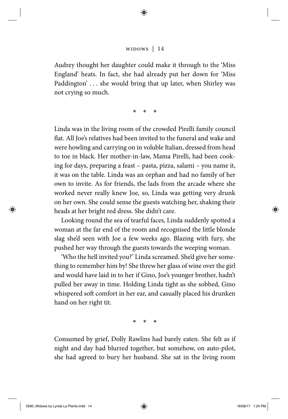Audrey thought her daughter could make it through to the 'Miss England' heats. In fact, she had already put her down for 'Miss Paddington' . . . she would bring that up later, when Shirley was not crying so much.

\* \* \*

Linda was in the living room of the crowded Pirelli family council flat. All Joe's relatives had been invited to the funeral and wake and were howling and carrying on in voluble Italian, dressed from head to toe in black. Her mother-in-law, Mama Pirelli, had been cooking for days, preparing a feast – pasta, pizza, salami – you name it, it was on the table. Linda was an orphan and had no family of her own to invite. As for friends, the lads from the arcade where she worked never really knew Joe, so, Linda was getting very drunk on her own. She could sense the guests watching her, shaking their heads at her bright red dress. She didn't care.

Looking round the sea of tearful faces, Linda suddenly spotted a woman at the far end of the room and recognised the little blonde slag she'd seen with Joe a few weeks ago. Blazing with fury, she pushed her way through the guests towards the weeping woman.

'Who the hell invited you?' Linda screamed. She'd give her something to remember him by! She threw her glass of wine over the girl and would have laid in to her if Gino, Joe's younger brother, hadn't pulled her away in time. Holding Linda tight as she sobbed, Gino whispered soft comfort in her ear, and casually placed his drunken hand on her right tit.

\* \* \*

Consumed by grief, Dolly Rawlins had barely eaten. She felt as if night and day had blurred together, but somehow, on auto-pilot, she had agreed to bury her husband. She sat in the living room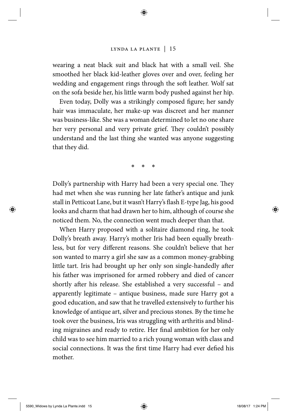wearing a neat black suit and black hat with a small veil. She smoothed her black kid-leather gloves over and over, feeling her wedding and engagement rings through the soft leather. Wolf sat on the sofa beside her, his little warm body pushed against her hip.

Even today, Dolly was a strikingly composed figure; her sandy hair was immaculate, her make-up was discreet and her manner was business-like. She was a woman determined to let no one share her very personal and very private grief. They couldn't possibly understand and the last thing she wanted was anyone suggesting that they did.

\* \* \*

Dolly's partnership with Harry had been a very special one. They had met when she was running her late father's antique and junk stall in Petticoat Lane, but it wasn't Harry's flash E-type Jag, his good looks and charm that had drawn her to him, although of course she noticed them. No, the connection went much deeper than that.

When Harry proposed with a solitaire diamond ring, he took Dolly's breath away. Harry's mother Iris had been equally breathless, but for very different reasons. She couldn't believe that her son wanted to marry a girl she saw as a common money-grabbing little tart. Iris had brought up her only son single-handedly after his father was imprisoned for armed robbery and died of cancer shortly after his release. She established a very successful - and apparently legitimate – antique business, made sure Harry got a good education, and saw that he travelled extensively to further his knowledge of antique art, silver and precious stones. By the time he took over the business, Iris was struggling with arthritis and blinding migraines and ready to retire. Her final ambition for her only child was to see him married to a rich young woman with class and social connections. It was the first time Harry had ever defied his mother.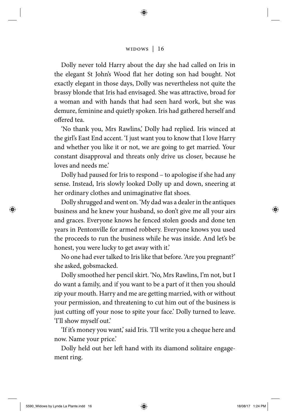Dolly never told Harry about the day she had called on Iris in the elegant St John's Wood flat her doting son had bought. Not exactly elegant in those days, Dolly was nevertheless not quite the brassy blonde that Iris had envisaged. She was attractive, broad for a woman and with hands that had seen hard work, but she was demure, feminine and quietly spoken. Iris had gathered herself and offered tea.

'No thank you, Mrs Rawlins,' Dolly had replied. Iris winced at the girl's East End accent. 'I just want you to know that I love Harry and whether you like it or not, we are going to get married. Your constant disapproval and threats only drive us closer, because he loves and needs me.'

Dolly had paused for Iris to respond – to apologise if she had any sense. Instead, Iris slowly looked Dolly up and down, sneering at her ordinary clothes and unimaginative flat shoes.

Dolly shrugged and went on. 'My dad was a dealer in the antiques business and he knew your husband, so don't give me all your airs and graces. Everyone knows he fenced stolen goods and done ten years in Pentonville for armed robbery. Everyone knows you used the proceeds to run the business while he was inside. And let's be honest, you were lucky to get away with it.'

No one had ever talked to Iris like that before. 'Are you pregnant?' she asked, gobsmacked.

Dolly smoothed her pencil skirt. 'No, Mrs Rawlins, I'm not, but I do want a family, and if you want to be a part of it then you should zip your mouth. Harry and me are getting married, with or without your permission, and threatening to cut him out of the business is just cutting off your nose to spite your face.' Dolly turned to leave. 'I'll show myself out.'

'If it's money you want,' said Iris. 'I'll write you a cheque here and now. Name your price.'

Dolly held out her left hand with its diamond solitaire engagement ring.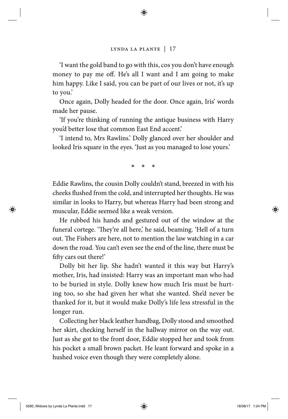'I want the gold band to go with this, cos you don't have enough money to pay me off. He's all I want and I am going to make him happy. Like I said, you can be part of our lives or not, it's up to you.'

Once again, Dolly headed for the door. Once again, Iris' words made her pause.

'If you're thinking of running the antique business with Harry you'd better lose that common East End accent.'

'I intend to, Mrs Rawlins.' Dolly glanced over her shoulder and looked Iris square in the eyes. 'Just as you managed to lose yours.'

\* \* \*

Eddie Rawlins, the cousin Dolly couldn't stand, breezed in with his cheeks flushed from the cold, and interrupted her thoughts. He was similar in looks to Harry, but whereas Harry had been strong and muscular, Eddie seemed like a weak version.

He rubbed his hands and gestured out of the window at the funeral cortege. 'They're all here,' he said, beaming. 'Hell of a turn out. The Fishers are here, not to mention the law watching in a car down the road. You can't even see the end of the line, there must be fifty cars out there!'

Dolly bit her lip. She hadn't wanted it this way but Harry's mother, Iris, had insisted: Harry was an important man who had to be buried in style. Dolly knew how much Iris must be hurting too, so she had given her what she wanted. She'd never be thanked for it, but it would make Dolly's life less stressful in the longer run.

Collecting her black leather handbag, Dolly stood and smoothed her skirt, checking herself in the hallway mirror on the way out. Just as she got to the front door, Eddie stopped her and took from his pocket a small brown packet. He leant forward and spoke in a hushed voice even though they were completely alone.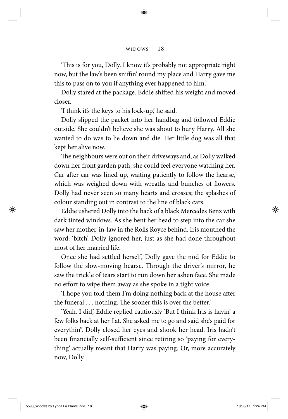'This is for you, Dolly. I know it's probably not appropriate right now, but the law's been sniffin' round my place and Harry gave me this to pass on to you if anything ever happened to him.'

Dolly stared at the package. Eddie shifted his weight and moved closer.

'I think it's the keys to his lock-up,' he said.

Dolly slipped the packet into her handbag and followed Eddie outside. She couldn't believe she was about to bury Harry. All she wanted to do was to lie down and die. Her little dog was all that kept her alive now.

The neighbours were out on their driveways and, as Dolly walked down her front garden path, she could feel everyone watching her. Car after car was lined up, waiting patiently to follow the hearse, which was weighed down with wreaths and bunches of flowers. Dolly had never seen so many hearts and crosses; the splashes of colour standing out in contrast to the line of black cars.

Eddie ushered Dolly into the back of a black Mercedes Benz with dark tinted windows. As she bent her head to step into the car she saw her mother-in-law in the Rolls Royce behind. Iris mouthed the word: 'bitch'. Dolly ignored her, just as she had done throughout most of her married life.

Once she had settled herself, Dolly gave the nod for Eddie to follow the slow-moving hearse. Through the driver's mirror, he saw the trickle of tears start to run down her ashen face. She made no effort to wipe them away as she spoke in a tight voice.

'I hope you told them I'm doing nothing back at the house after the funeral  $\dots$  nothing. The sooner this is over the better.'

'Yeah, I did,' Eddie replied cautiously 'But I think Iris is havin' a few folks back at her flat. She asked me to go and said she's paid for everythin''. Dolly closed her eyes and shook her head. Iris hadn't been financially self-sufficient since retiring so 'paying for everything' actually meant that Harry was paying. Or, more accurately now, Dolly.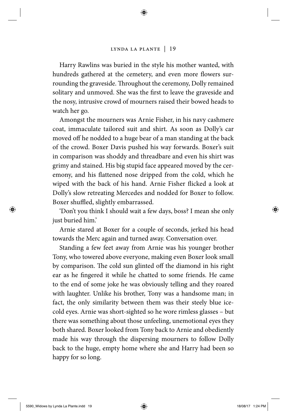Harry Rawlins was buried in the style his mother wanted, with hundreds gathered at the cemetery, and even more flowers surrounding the graveside. Throughout the ceremony, Dolly remained solitary and unmoved. She was the first to leave the graveside and the nosy, intrusive crowd of mourners raised their bowed heads to watch her go.

Amongst the mourners was Arnie Fisher, in his navy cashmere coat, immaculate tailored suit and shirt. As soon as Dolly's car moved off he nodded to a huge bear of a man standing at the back of the crowd. Boxer Davis pushed his way forwards. Boxer's suit in comparison was shoddy and threadbare and even his shirt was grimy and stained. His big stupid face appeared moved by the ceremony, and his flattened nose dripped from the cold, which he wiped with the back of his hand. Arnie Fisher flicked a look at Dolly's slow retreating Mercedes and nodded for Boxer to follow. Boxer shuffled, slightly embarrassed.

'Don't you think I should wait a few days, boss? I mean she only just buried him.'

Arnie stared at Boxer for a couple of seconds, jerked his head towards the Merc again and turned away. Conversation over.

Standing a few feet away from Arnie was his younger brother Tony, who towered above everyone, making even Boxer look small by comparison. The cold sun glinted off the diamond in his right ear as he fingered it while he chatted to some friends. He came to the end of some joke he was obviously telling and they roared with laughter. Unlike his brother, Tony was a handsome man; in fact, the only similarity between them was their steely blue icecold eyes. Arnie was short-sighted so he wore rimless glasses – but there was something about those unfeeling, unemotional eyes they both shared. Boxer looked from Tony back to Arnie and obediently made his way through the dispersing mourners to follow Dolly back to the huge, empty home where she and Harry had been so happy for so long.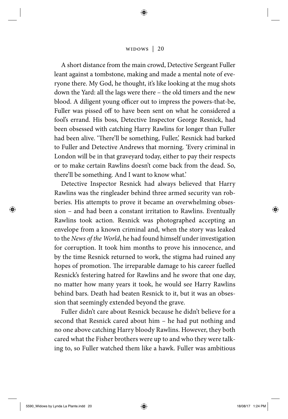A short distance from the main crowd, Detective Sergeant Fuller leant against a tombstone, making and made a mental note of everyone there. My God, he thought, it's like looking at the mug shots down the Yard: all the lags were there – the old timers and the new blood. A diligent young officer out to impress the powers-that-be, Fuller was pissed off to have been sent on what he considered a fool's errand. His boss, Detective Inspector George Resnick, had been obsessed with catching Harry Rawlins for longer than Fuller had been alive. 'There'll be something, Fuller,' Resnick had barked to Fuller and Detective Andrews that morning. 'Every criminal in London will be in that graveyard today, either to pay their respects or to make certain Rawlins doesn't come back from the dead. So, there'll be something. And I want to know what.'

Detective Inspector Resnick had always believed that Harry Rawlins was the ringleader behind three armed security van robberies. His attempts to prove it became an overwhelming obsession – and had been a constant irritation to Rawlins. Eventually Rawlins took action. Resnick was photographed accepting an envelope from a known criminal and, when the story was leaked to the *News of the World*, he had found himself under investigation for corruption. It took him months to prove his innocence, and by the time Resnick returned to work, the stigma had ruined any hopes of promotion. The irreparable damage to his career fuelled Resnick's festering hatred for Rawlins and he swore that one day, no matter how many years it took, he would see Harry Rawlins behind bars. Death had beaten Resnick to it, but it was an obsession that seemingly extended beyond the grave.

Fuller didn't care about Resnick because he didn't believe for a second that Resnick cared about him – he had put nothing and no one above catching Harry bloody Rawlins. However, they both cared what the Fisher brothers were up to and who they were talking to, so Fuller watched them like a hawk. Fuller was ambitious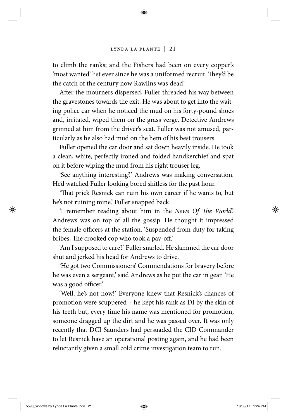to climb the ranks; and the Fishers had been on every copper's 'most wanted' list ever since he was a uniformed recruit. They'd be the catch of the century now Rawlins was dead!

After the mourners dispersed, Fuller threaded his way between the gravestones towards the exit. He was about to get into the waiting police car when he noticed the mud on his forty-pound shoes and, irritated, wiped them on the grass verge. Detective Andrews grinned at him from the driver's seat. Fuller was not amused, particularly as he also had mud on the hem of his best trousers.

Fuller opened the car door and sat down heavily inside. He took a clean, white, perfectly ironed and folded handkerchief and spat on it before wiping the mud from his right trouser leg.

'See anything interesting?' Andrews was making conversation. He'd watched Fuller looking bored shitless for the past hour.

'That prick Resnick can ruin his own career if he wants to, but he's not ruining mine.' Fuller snapped back.

'I remember reading about him in the *News Of The World*.' Andrews was on top of all the gossip. He thought it impressed the female officers at the station. 'Suspended from duty for taking bribes. The crooked cop who took a pay-off.'

'Am I supposed to care?' Fuller snarled. He slammed the car door shut and jerked his head for Andrews to drive.

'He got two Commissioners' Commendations for bravery before he was even a sergeant,' said Andrews as he put the car in gear. 'He was a good officer.'

'Well, he's not now!' Everyone knew that Resnick's chances of promotion were scuppered – he kept his rank as DI by the skin of his teeth but, every time his name was mentioned for promotion, someone dragged up the dirt and he was passed over. It was only recently that DCI Saunders had persuaded the CID Commander to let Resnick have an operational posting again, and he had been reluctantly given a small cold crime investigation team to run.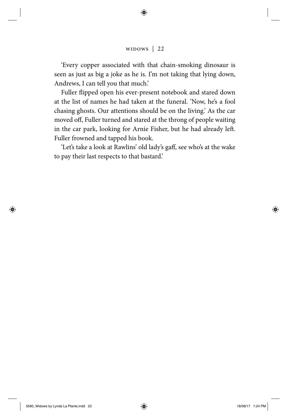'Every copper associated with that chain-smoking dinosaur is seen as just as big a joke as he is. I'm not taking that lying down, Andrews, I can tell you that much.'

Fuller flipped open his ever-present notebook and stared down at the list of names he had taken at the funeral. 'Now, he's a fool chasing ghosts. Our attentions should be on the living.' As the car moved off, Fuller turned and stared at the throng of people waiting in the car park, looking for Arnie Fisher, but he had already left. Fuller frowned and tapped his book.

'Let's take a look at Rawlins' old lady's gaff, see who's at the wake to pay their last respects to that bastard.'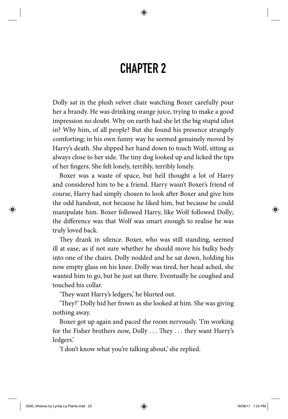# CHAPTER 2

Dolly sat in the plush velvet chair watching Boxer carefully pour her a brandy. He was drinking orange juice, trying to make a good impression no doubt. Why on earth had she let the big stupid idiot in? Why him, of all people? But she found his presence strangely comforting; in his own funny way he seemed genuinely moved by Harry's death. She slipped her hand down to touch Wolf, sitting as always close to her side. The tiny dog looked up and licked the tips of her fingers. She felt lonely, terribly, terribly lonely.

Boxer was a waste of space, but he'd thought a lot of Harry and considered him to be a friend. Harry wasn't Boxer's friend of course, Harry had simply chosen to look after Boxer and give him the odd handout, not because he liked him, but because he could manipulate him. Boxer followed Harry, like Wolf followed Dolly; the difference was that Wolf was smart enough to realise he was truly loved back.

They drank in silence. Boxer, who was still standing, seemed ill at ease, as if not sure whether he should move his bulky body into one of the chairs. Dolly nodded and he sat down, holding his now empty glass on his knee. Dolly was tired, her head ached, she wanted him to go, but he just sat there. Eventually he coughed and touched his collar.

'They want Harry's ledgers,' he blurted out.

'They?' Dolly hid her frown as she looked at him. She was giving nothing away.

Boxer got up again and paced the room nervously. 'I'm working for the Fisher brothers now, Dolly . . . They . . . they want Harry's ledgers.'

'I don't know what you're talking about,' she replied.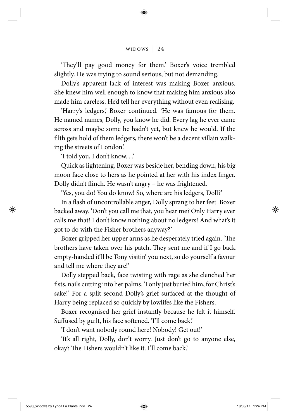'They'll pay good money for them.' Boxer's voice trembled slightly. He was trying to sound serious, but not demanding.

Dolly's apparent lack of interest was making Boxer anxious. She knew him well enough to know that making him anxious also made him careless. He'd tell her everything without even realising.

'Harry's ledgers,' Boxer continued. 'He was famous for them. He named names, Dolly, you know he did. Every lag he ever came across and maybe some he hadn't yet, but knew he would. If the filth gets hold of them ledgers, there won't be a decent villain walking the streets of London.'

'I told you, I don't know. . .'

Quick as lightening, Boxer was beside her, bending down, his big moon face close to hers as he pointed at her with his index finger. Dolly didn't flinch. He wasn't angry - he was frightened.

'Yes, you do! You do know! So, where are his ledgers, Doll?'

In a flash of uncontrollable anger, Dolly sprang to her feet. Boxer backed away. 'Don't you call me that, you hear me? Only Harry ever calls me that! I don't know nothing about no ledgers! And what's it got to do with the Fisher brothers anyway?'

Boxer gripped her upper arms as he desperately tried again. 'The brothers have taken over his patch. They sent me and if I go back empty-handed it'll be Tony visitin' you next, so do yourself a favour and tell me where they are!'

Dolly stepped back, face twisting with rage as she clenched her fists, nails cutting into her palms. 'I only just buried him, for Christ's sake!' For a split second Dolly's grief surfaced at the thought of Harry being replaced so quickly by lowlifes like the Fishers.

Boxer recognised her grief instantly because he felt it himself. Suffused by guilt, his face softened. 'I'll come back.'

'I don't want nobody round here! Nobody! Get out!'

'It's all right, Dolly, don't worry. Just don't go to anyone else, okay? The Fishers wouldn't like it. I'll come back.'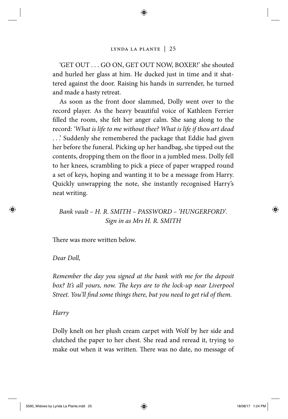'GET OUT . . . GO ON, GET OUT NOW, BOXER!' she shouted and hurled her glass at him. He ducked just in time and it shattered against the door. Raising his hands in surrender, he turned and made a hasty retreat.

As soon as the front door slammed, Dolly went over to the record player. As the heavy beautiful voice of Kathleen Ferrier filled the room, she felt her anger calm. She sang along to the record: *'What is life to me without thee? What is life if thou art dead* . . .' Suddenly she remembered the package that Eddie had given her before the funeral. Picking up her handbag, she tipped out the contents, dropping them on the floor in a jumbled mess. Dolly fell to her knees, scrambling to pick a piece of paper wrapped round a set of keys, hoping and wanting it to be a message from Harry. Quickly unwrapping the note, she instantly recognised Harry's neat writing.

#### *Bank vault – H. R. SMITH – PASSWORD – 'HUNGERFORD'. Sign in as Mrs H. R. SMITH*

There was more written below.

#### *Dear Doll,*

*Remember the day you signed at the bank with me for the deposit*  box? It's all yours, now. The keys are to the lock-up near Liverpool *Street. You'll find some things there, but you need to get rid of them.* 

*Harry*

Dolly knelt on her plush cream carpet with Wolf by her side and clutched the paper to her chest. She read and reread it, trying to make out when it was written. There was no date, no message of